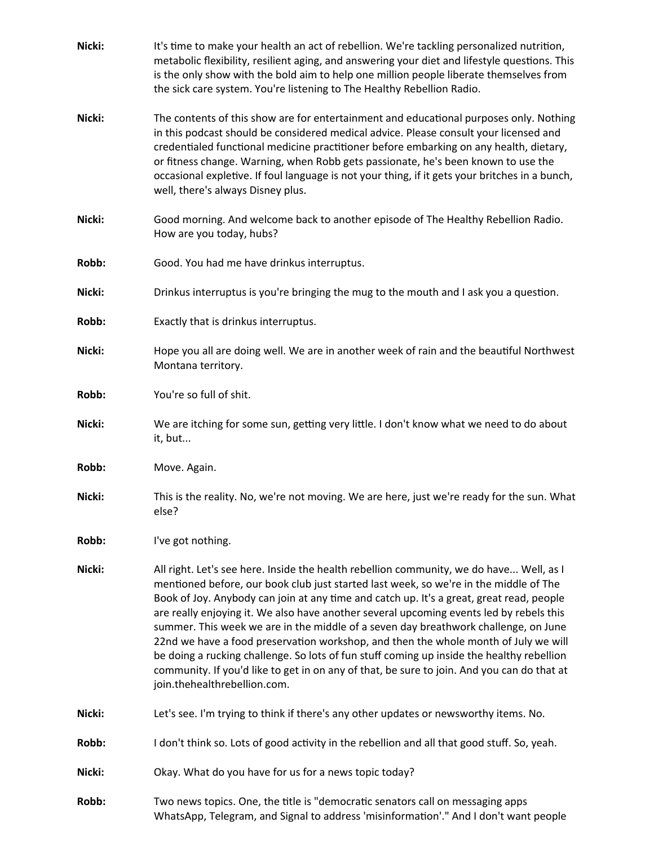| Nicki: | It's time to make your health an act of rebellion. We're tackling personalized nutrition,<br>metabolic flexibility, resilient aging, and answering your diet and lifestyle questions. This<br>is the only show with the bold aim to help one million people liberate themselves from<br>the sick care system. You're listening to The Healthy Rebellion Radio.                                                                                                                                                                                                                                                                                                                                                                                                                   |
|--------|----------------------------------------------------------------------------------------------------------------------------------------------------------------------------------------------------------------------------------------------------------------------------------------------------------------------------------------------------------------------------------------------------------------------------------------------------------------------------------------------------------------------------------------------------------------------------------------------------------------------------------------------------------------------------------------------------------------------------------------------------------------------------------|
| Nicki: | The contents of this show are for entertainment and educational purposes only. Nothing<br>in this podcast should be considered medical advice. Please consult your licensed and<br>credentialed functional medicine practitioner before embarking on any health, dietary,<br>or fitness change. Warning, when Robb gets passionate, he's been known to use the<br>occasional expletive. If foul language is not your thing, if it gets your britches in a bunch,<br>well, there's always Disney plus.                                                                                                                                                                                                                                                                            |
| Nicki: | Good morning. And welcome back to another episode of The Healthy Rebellion Radio.<br>How are you today, hubs?                                                                                                                                                                                                                                                                                                                                                                                                                                                                                                                                                                                                                                                                    |
| Robb:  | Good. You had me have drinkus interruptus.                                                                                                                                                                                                                                                                                                                                                                                                                                                                                                                                                                                                                                                                                                                                       |
| Nicki: | Drinkus interruptus is you're bringing the mug to the mouth and I ask you a question.                                                                                                                                                                                                                                                                                                                                                                                                                                                                                                                                                                                                                                                                                            |
| Robb:  | Exactly that is drinkus interruptus.                                                                                                                                                                                                                                                                                                                                                                                                                                                                                                                                                                                                                                                                                                                                             |
| Nicki: | Hope you all are doing well. We are in another week of rain and the beautiful Northwest<br>Montana territory.                                                                                                                                                                                                                                                                                                                                                                                                                                                                                                                                                                                                                                                                    |
| Robb:  | You're so full of shit.                                                                                                                                                                                                                                                                                                                                                                                                                                                                                                                                                                                                                                                                                                                                                          |
| Nicki: | We are itching for some sun, getting very little. I don't know what we need to do about<br>it, but                                                                                                                                                                                                                                                                                                                                                                                                                                                                                                                                                                                                                                                                               |
| Robb:  | Move. Again.                                                                                                                                                                                                                                                                                                                                                                                                                                                                                                                                                                                                                                                                                                                                                                     |
| Nicki: | This is the reality. No, we're not moving. We are here, just we're ready for the sun. What<br>else?                                                                                                                                                                                                                                                                                                                                                                                                                                                                                                                                                                                                                                                                              |
| Robb:  | I've got nothing.                                                                                                                                                                                                                                                                                                                                                                                                                                                                                                                                                                                                                                                                                                                                                                |
| Nicki: | All right. Let's see here. Inside the health rebellion community, we do have Well, as I<br>mentioned before, our book club just started last week, so we're in the middle of The<br>Book of Joy. Anybody can join at any time and catch up. It's a great, great read, people<br>are really enjoying it. We also have another several upcoming events led by rebels this<br>summer. This week we are in the middle of a seven day breathwork challenge, on June<br>22nd we have a food preservation workshop, and then the whole month of July we will<br>be doing a rucking challenge. So lots of fun stuff coming up inside the healthy rebellion<br>community. If you'd like to get in on any of that, be sure to join. And you can do that at<br>join.thehealthrebellion.com. |
| Nicki: | Let's see. I'm trying to think if there's any other updates or newsworthy items. No.                                                                                                                                                                                                                                                                                                                                                                                                                                                                                                                                                                                                                                                                                             |
| Robb:  | I don't think so. Lots of good activity in the rebellion and all that good stuff. So, yeah.                                                                                                                                                                                                                                                                                                                                                                                                                                                                                                                                                                                                                                                                                      |
| Nicki: | Okay. What do you have for us for a news topic today?                                                                                                                                                                                                                                                                                                                                                                                                                                                                                                                                                                                                                                                                                                                            |
| Robb:  | Two news topics. One, the title is "democratic senators call on messaging apps<br>WhatsApp, Telegram, and Signal to address 'misinformation'." And I don't want people                                                                                                                                                                                                                                                                                                                                                                                                                                                                                                                                                                                                           |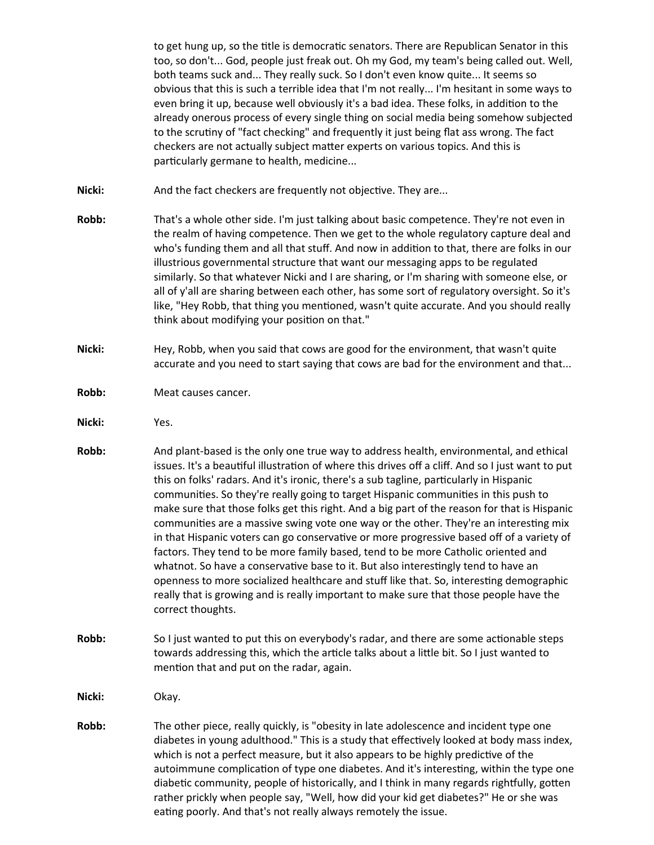to get hung up, so the title is democratic senators. There are Republican Senator in this too, so don't... God, people just freak out. Oh my God, my team's being called out. Well, both teams suck and... They really suck. So I don't even know quite... It seems so obvious that this is such a terrible idea that I'm not really... I'm hesitant in some ways to even bring it up, because well obviously it's a bad idea. These folks, in addition to the already onerous process of every single thing on social media being somehow subjected to the scrutiny of "fact checking" and frequently it just being flat ass wrong. The fact checkers are not actually subject matter experts on various topics. And this is particularly germane to health, medicine...

- Nicki: And the fact checkers are frequently not objective. They are...
- **Robb:** That's a whole other side. I'm just talking about basic competence. They're not even in the realm of having competence. Then we get to the whole regulatory capture deal and who's funding them and all that stuff. And now in addition to that, there are folks in our illustrious governmental structure that want our messaging apps to be regulated similarly. So that whatever Nicki and I are sharing, or I'm sharing with someone else, or all of y'all are sharing between each other, has some sort of regulatory oversight. So it's like, "Hey Robb, that thing you mentioned, wasn't quite accurate. And you should really think about modifying your position on that."
- **Nicki:** Hey, Robb, when you said that cows are good for the environment, that wasn't quite accurate and you need to start saying that cows are bad for the environment and that...
- **Robb:** Meat causes cancer.
- **Nicki:** Yes.
- **Robb:** And plant-based is the only one true way to address health, environmental, and ethical issues. It's a beautiful illustration of where this drives off a cliff. And so I just want to put this on folks' radars. And it's ironic, there's a sub tagline, particularly in Hispanic communities. So they're really going to target Hispanic communities in this push to make sure that those folks get this right. And a big part of the reason for that is Hispanic communities are a massive swing vote one way or the other. They're an interesting mix in that Hispanic voters can go conservative or more progressive based off of a variety of factors. They tend to be more family based, tend to be more Catholic oriented and whatnot. So have a conservative base to it. But also interestingly tend to have an openness to more socialized healthcare and stuff like that. So, interesting demographic really that is growing and is really important to make sure that those people have the correct thoughts.
- **Robb:** So I just wanted to put this on everybody's radar, and there are some actionable steps towards addressing this, which the article talks about a little bit. So I just wanted to mention that and put on the radar, again.
- **Nicki:** Okay.
- **Robb:** The other piece, really quickly, is "obesity in late adolescence and incident type one diabetes in young adulthood." This is a study that effectively looked at body mass index, which is not a perfect measure, but it also appears to be highly predictive of the autoimmune complication of type one diabetes. And it's interesting, within the type one diabetic community, people of historically, and I think in many regards rightfully, gotten rather prickly when people say, "Well, how did your kid get diabetes?" He or she was eating poorly. And that's not really always remotely the issue.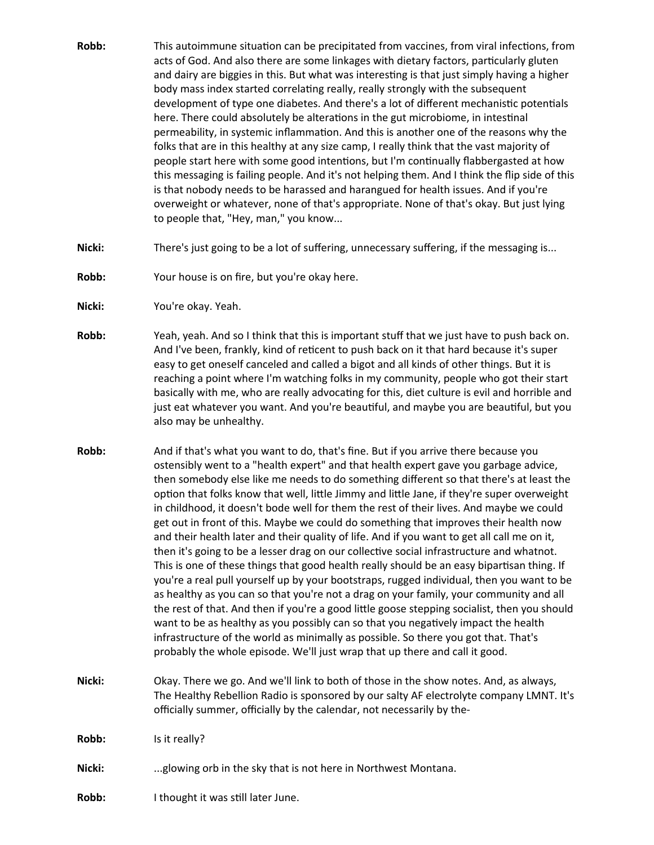- **Robb:** This autoimmune situation can be precipitated from vaccines, from viral infections, from acts of God. And also there are some linkages with dietary factors, particularly gluten and dairy are biggies in this. But what was interesting is that just simply having a higher body mass index started correlating really, really strongly with the subsequent development of type one diabetes. And there's a lot of different mechanistic potentials here. There could absolutely be alterations in the gut microbiome, in intestinal permeability, in systemic inflammation. And this is another one of the reasons why the folks that are in this healthy at any size camp, I really think that the vast majority of people start here with some good intentions, but I'm continually flabbergasted at how this messaging is failing people. And it's not helping them. And I think the flip side of this is that nobody needs to be harassed and harangued for health issues. And if you're overweight or whatever, none of that's appropriate. None of that's okay. But just lying to people that, "Hey, man," you know...
- **Nicki:** There's just going to be a lot of suffering, unnecessary suffering, if the messaging is...
- **Robb:** Your house is on fire, but you're okay here.
- **Nicki:** You're okay. Yeah.
- **Robb:** Yeah, yeah. And so I think that this is important stuff that we just have to push back on. And I've been, frankly, kind of reticent to push back on it that hard because it's super easy to get oneself canceled and called a bigot and all kinds of other things. But it is reaching a point where I'm watching folks in my community, people who got their start basically with me, who are really advocating for this, diet culture is evil and horrible and just eat whatever you want. And you're beautiful, and maybe you are beautiful, but you also may be unhealthy.
- **Robb:** And if that's what you want to do, that's fine. But if you arrive there because you ostensibly went to a "health expert" and that health expert gave you garbage advice, then somebody else like me needs to do something different so that there's at least the option that folks know that well, little Jimmy and little Jane, if they're super overweight in childhood, it doesn't bode well for them the rest of their lives. And maybe we could get out in front of this. Maybe we could do something that improves their health now and their health later and their quality of life. And if you want to get all call me on it, then it's going to be a lesser drag on our collective social infrastructure and whatnot. This is one of these things that good health really should be an easy bipartisan thing. If you're a real pull yourself up by your bootstraps, rugged individual, then you want to be as healthy as you can so that you're not a drag on your family, your community and all the rest of that. And then if you're a good little goose stepping socialist, then you should want to be as healthy as you possibly can so that you negatively impact the health infrastructure of the world as minimally as possible. So there you got that. That's probably the whole episode. We'll just wrap that up there and call it good.
- **Nicki:** Okay. There we go. And we'll link to both of those in the show notes. And, as always, The Healthy Rebellion Radio is sponsored by our salty AF electrolyte company LMNT. It's officially summer, officially by the calendar, not necessarily by the-

**Robb:** Is it really?

**Nicki:** ...glowing orb in the sky that is not here in Northwest Montana.

**Robb:** I thought it was still later June.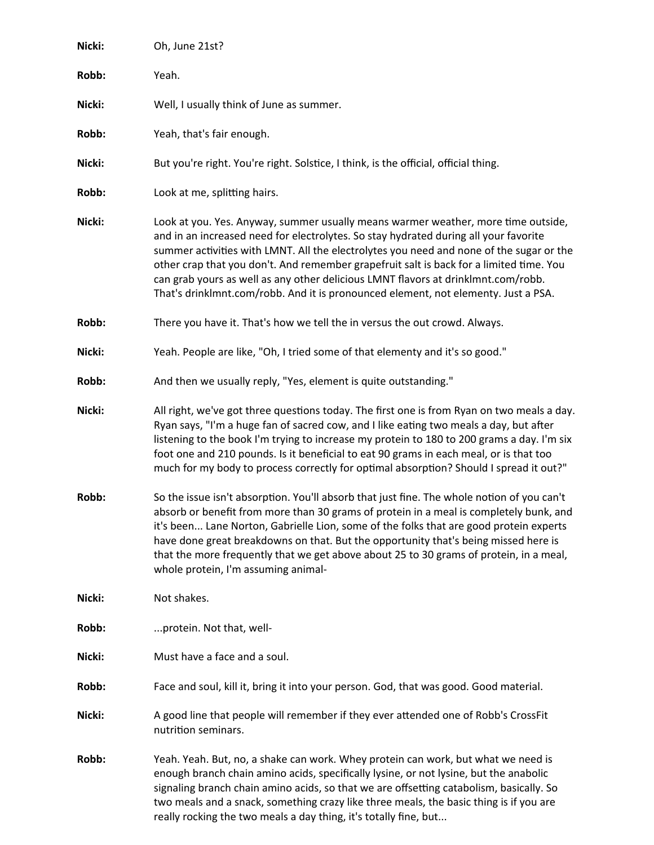| Nicki: | Oh, June 21st?                                                                                                                                                                                                                                                                                                                                                                                                                                                                                                                             |
|--------|--------------------------------------------------------------------------------------------------------------------------------------------------------------------------------------------------------------------------------------------------------------------------------------------------------------------------------------------------------------------------------------------------------------------------------------------------------------------------------------------------------------------------------------------|
| Robb:  | Yeah.                                                                                                                                                                                                                                                                                                                                                                                                                                                                                                                                      |
| Nicki: | Well, I usually think of June as summer.                                                                                                                                                                                                                                                                                                                                                                                                                                                                                                   |
| Robb:  | Yeah, that's fair enough.                                                                                                                                                                                                                                                                                                                                                                                                                                                                                                                  |
| Nicki: | But you're right. You're right. Solstice, I think, is the official, official thing.                                                                                                                                                                                                                                                                                                                                                                                                                                                        |
| Robb:  | Look at me, splitting hairs.                                                                                                                                                                                                                                                                                                                                                                                                                                                                                                               |
| Nicki: | Look at you. Yes. Anyway, summer usually means warmer weather, more time outside,<br>and in an increased need for electrolytes. So stay hydrated during all your favorite<br>summer activities with LMNT. All the electrolytes you need and none of the sugar or the<br>other crap that you don't. And remember grapefruit salt is back for a limited time. You<br>can grab yours as well as any other delicious LMNT flavors at drinklmnt.com/robb.<br>That's drinklmnt.com/robb. And it is pronounced element, not elementy. Just a PSA. |
| Robb:  | There you have it. That's how we tell the in versus the out crowd. Always.                                                                                                                                                                                                                                                                                                                                                                                                                                                                 |
| Nicki: | Yeah. People are like, "Oh, I tried some of that elementy and it's so good."                                                                                                                                                                                                                                                                                                                                                                                                                                                               |
| Robb:  | And then we usually reply, "Yes, element is quite outstanding."                                                                                                                                                                                                                                                                                                                                                                                                                                                                            |
| Nicki: | All right, we've got three questions today. The first one is from Ryan on two meals a day.<br>Ryan says, "I'm a huge fan of sacred cow, and I like eating two meals a day, but after<br>listening to the book I'm trying to increase my protein to 180 to 200 grams a day. I'm six<br>foot one and 210 pounds. Is it beneficial to eat 90 grams in each meal, or is that too<br>much for my body to process correctly for optimal absorption? Should I spread it out?"                                                                     |
| Robb:  | So the issue isn't absorption. You'll absorb that just fine. The whole notion of you can't<br>absorb or benefit from more than 30 grams of protein in a meal is completely bunk, and<br>it's been Lane Norton, Gabrielle Lion, some of the folks that are good protein experts<br>have done great breakdowns on that. But the opportunity that's being missed here is<br>that the more frequently that we get above about 25 to 30 grams of protein, in a meal,<br>whole protein, I'm assuming animal-                                     |
| Nicki: | Not shakes.                                                                                                                                                                                                                                                                                                                                                                                                                                                                                                                                |
| Robb:  | protein. Not that, well-                                                                                                                                                                                                                                                                                                                                                                                                                                                                                                                   |
| Nicki: | Must have a face and a soul.                                                                                                                                                                                                                                                                                                                                                                                                                                                                                                               |
| Robb:  | Face and soul, kill it, bring it into your person. God, that was good. Good material.                                                                                                                                                                                                                                                                                                                                                                                                                                                      |
| Nicki: | A good line that people will remember if they ever attended one of Robb's CrossFit<br>nutrition seminars.                                                                                                                                                                                                                                                                                                                                                                                                                                  |
| Robb:  | Yeah. Yeah. But, no, a shake can work. Whey protein can work, but what we need is<br>enough branch chain amino acids, specifically lysine, or not lysine, but the anabolic<br>signaling branch chain amino acids, so that we are offsetting catabolism, basically. So<br>two meals and a snack, something crazy like three meals, the basic thing is if you are<br>really rocking the two meals a day thing, it's totally fine, but                                                                                                        |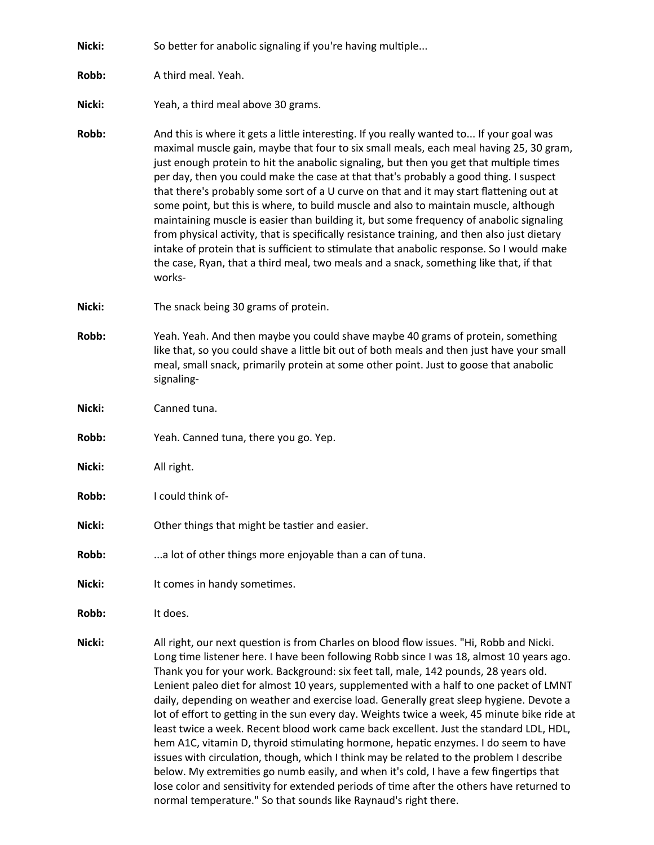| Nicki: | So better for anabolic signaling if you're having multiple                                                                                                                                                                                                                                                                                                                                                                                                                                                                                                                                                                                                                                                                                                                                                                                                                                                                                            |
|--------|-------------------------------------------------------------------------------------------------------------------------------------------------------------------------------------------------------------------------------------------------------------------------------------------------------------------------------------------------------------------------------------------------------------------------------------------------------------------------------------------------------------------------------------------------------------------------------------------------------------------------------------------------------------------------------------------------------------------------------------------------------------------------------------------------------------------------------------------------------------------------------------------------------------------------------------------------------|
| Robb:  | A third meal. Yeah.                                                                                                                                                                                                                                                                                                                                                                                                                                                                                                                                                                                                                                                                                                                                                                                                                                                                                                                                   |
| Nicki: | Yeah, a third meal above 30 grams.                                                                                                                                                                                                                                                                                                                                                                                                                                                                                                                                                                                                                                                                                                                                                                                                                                                                                                                    |
| Robb:  | And this is where it gets a little interesting. If you really wanted to If your goal was<br>maximal muscle gain, maybe that four to six small meals, each meal having 25, 30 gram,<br>just enough protein to hit the anabolic signaling, but then you get that multiple times<br>per day, then you could make the case at that that's probably a good thing. I suspect<br>that there's probably some sort of a U curve on that and it may start flattening out at<br>some point, but this is where, to build muscle and also to maintain muscle, although<br>maintaining muscle is easier than building it, but some frequency of anabolic signaling<br>from physical activity, that is specifically resistance training, and then also just dietary<br>intake of protein that is sufficient to stimulate that anabolic response. So I would make<br>the case, Ryan, that a third meal, two meals and a snack, something like that, if that<br>works- |
| Nicki: | The snack being 30 grams of protein.                                                                                                                                                                                                                                                                                                                                                                                                                                                                                                                                                                                                                                                                                                                                                                                                                                                                                                                  |
| Robb:  | Yeah. Yeah. And then maybe you could shave maybe 40 grams of protein, something<br>like that, so you could shave a little bit out of both meals and then just have your small<br>meal, small snack, primarily protein at some other point. Just to goose that anabolic<br>signaling-                                                                                                                                                                                                                                                                                                                                                                                                                                                                                                                                                                                                                                                                  |
| Nicki: | Canned tuna.                                                                                                                                                                                                                                                                                                                                                                                                                                                                                                                                                                                                                                                                                                                                                                                                                                                                                                                                          |
| Robb:  | Yeah. Canned tuna, there you go. Yep.                                                                                                                                                                                                                                                                                                                                                                                                                                                                                                                                                                                                                                                                                                                                                                                                                                                                                                                 |
| Nicki: | All right.                                                                                                                                                                                                                                                                                                                                                                                                                                                                                                                                                                                                                                                                                                                                                                                                                                                                                                                                            |
| Robb:  | I could think of-                                                                                                                                                                                                                                                                                                                                                                                                                                                                                                                                                                                                                                                                                                                                                                                                                                                                                                                                     |
| Nicki: | Other things that might be tastier and easier.                                                                                                                                                                                                                                                                                                                                                                                                                                                                                                                                                                                                                                                                                                                                                                                                                                                                                                        |
| Robb:  | a lot of other things more enjoyable than a can of tuna.                                                                                                                                                                                                                                                                                                                                                                                                                                                                                                                                                                                                                                                                                                                                                                                                                                                                                              |
| Nicki: | It comes in handy sometimes.                                                                                                                                                                                                                                                                                                                                                                                                                                                                                                                                                                                                                                                                                                                                                                                                                                                                                                                          |
| Robb:  | It does.                                                                                                                                                                                                                                                                                                                                                                                                                                                                                                                                                                                                                                                                                                                                                                                                                                                                                                                                              |
| Nicki: | All right, our next question is from Charles on blood flow issues. "Hi, Robb and Nicki.<br>Long time listener here. I have been following Robb since I was 18, almost 10 years ago.<br>Thank you for your work. Background: six feet tall, male, 142 pounds, 28 years old.<br>Lenient paleo diet for almost 10 years, supplemented with a half to one packet of LMNT<br>daily, depending on weather and exercise load. Generally great sleep hygiene. Devote a<br>lot of effort to getting in the sun every day. Weights twice a week, 45 minute bike ride at<br>least twice a week. Recent blood work came back excellent. Just the standard LDL, HDL,<br>hem A1C, vitamin D, thyroid stimulating hormone, hepatic enzymes. I do seem to have<br>والملاحظ المستطر المستحدث والمستحدث المتلاطف                                                                                                                                                        |

issues with circulation, though, which I think may be related to the problem I describe below. My extremities go numb easily, and when it's cold, I have a few fingertips that lose color and sensitivity for extended periods of time after the others have returned to normal temperature." So that sounds like Raynaud's right there.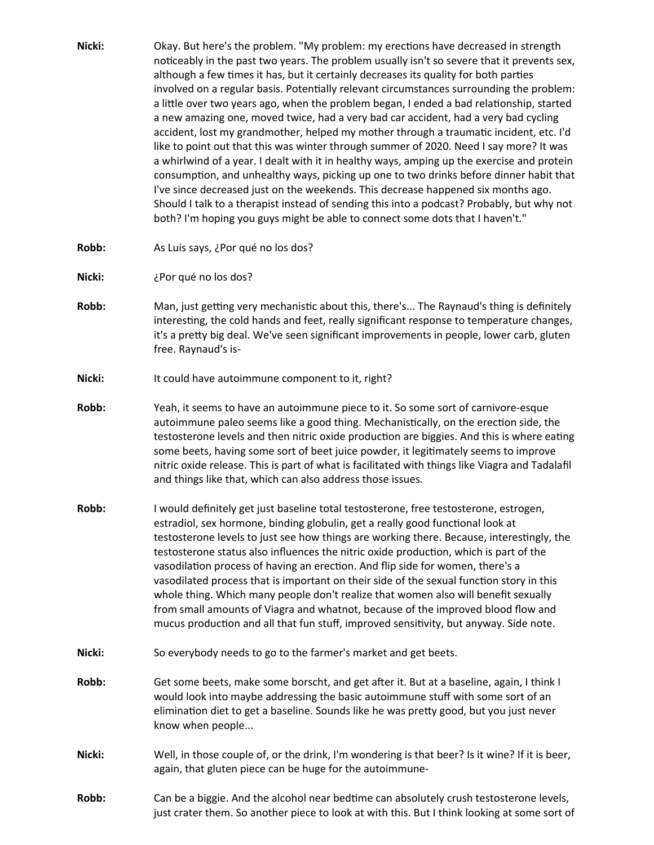- **Nicki:** Okay. But here's the problem. "My problem: my erections have decreased in strength noticeably in the past two years. The problem usually isn't so severe that it prevents sex, although a few times it has, but it certainly decreases its quality for both parties involved on a regular basis. Potentially relevant circumstances surrounding the problem: a little over two years ago, when the problem began, I ended a bad relationship, started a new amazing one, moved twice, had a very bad car accident, had a very bad cycling accident, lost my grandmother, helped my mother through a traumatic incident, etc. I'd like to point out that this was winter through summer of 2020. Need I say more? It was a whirlwind of a year. I dealt with it in healthy ways, amping up the exercise and protein consumption, and unhealthy ways, picking up one to two drinks before dinner habit that I've since decreased just on the weekends. This decrease happened six months ago. Should I talk to a therapist instead of sending this into a podcast? Probably, but why not both? I'm hoping you guys might be able to connect some dots that I haven't."
- **Robb:** As Luis says, ¿Por qué no los dos?
- **Nicki:** ¿Por qué no los dos?
- **Robb:** Man, just getting very mechanistic about this, there's... The Raynaud's thing is definitely interesting, the cold hands and feet, really significant response to temperature changes, it's a pretty big deal. We've seen significant improvements in people, lower carb, gluten free. Raynaud's is-
- Nicki: It could have autoimmune component to it, right?
- **Robb:** Yeah, it seems to have an autoimmune piece to it. So some sort of carnivore-esque autoimmune paleo seems like a good thing. Mechanistically, on the erection side, the testosterone levels and then nitric oxide production are biggies. And this is where eating some beets, having some sort of beet juice powder, it legitimately seems to improve nitric oxide release. This is part of what is facilitated with things like Viagra and Tadalafil and things like that, which can also address those issues.
- **Robb:** I would definitely get just baseline total testosterone, free testosterone, estrogen, estradiol, sex hormone, binding globulin, get a really good functional look at testosterone levels to just see how things are working there. Because, interestingly, the testosterone status also influences the nitric oxide production, which is part of the vasodilation process of having an erection. And flip side for women, there's a vasodilated process that is important on their side of the sexual function story in this whole thing. Which many people don't realize that women also will benefit sexually from small amounts of Viagra and whatnot, because of the improved blood flow and mucus production and all that fun stuff, improved sensitivity, but anyway. Side note.
- **Nicki:** So everybody needs to go to the farmer's market and get beets.
- **Robb:** Get some beets, make some borscht, and get after it. But at a baseline, again, I think I would look into maybe addressing the basic autoimmune stuff with some sort of an elimination diet to get a baseline. Sounds like he was pretty good, but you just never know when people...
- **Nicki:** Well, in those couple of, or the drink, I'm wondering is that beer? Is it wine? If it is beer, again, that gluten piece can be huge for the autoimmune-
- **Robb:** Can be a biggie. And the alcohol near bedtime can absolutely crush testosterone levels, just crater them. So another piece to look at with this. But I think looking at some sort of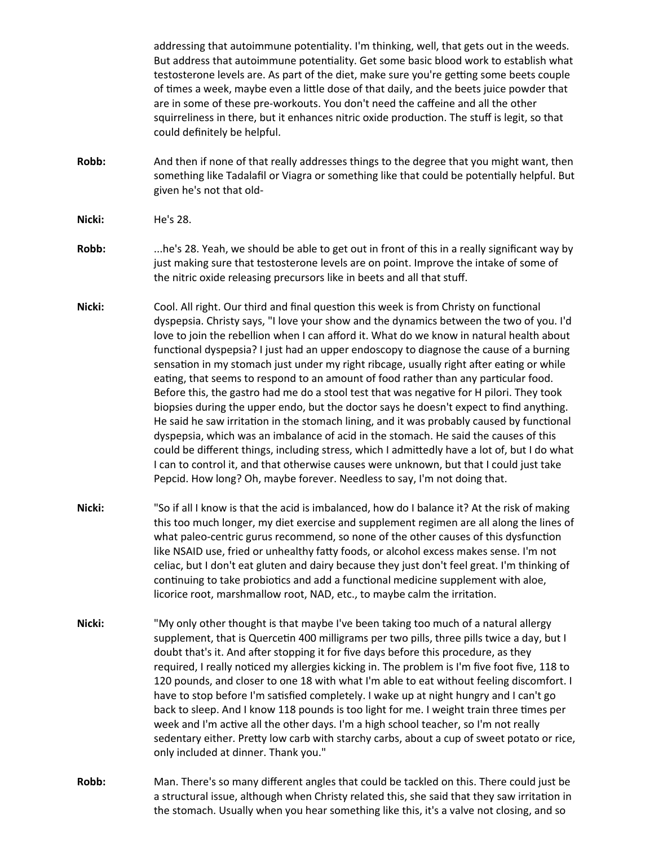addressing that autoimmune potentiality. I'm thinking, well, that gets out in the weeds. But address that autoimmune potentiality. Get some basic blood work to establish what testosterone levels are. As part of the diet, make sure you're getting some beets couple of times a week, maybe even a little dose of that daily, and the beets juice powder that are in some of these pre-workouts. You don't need the caffeine and all the other squirreliness in there, but it enhances nitric oxide production. The stuff is legit, so that could definitely be helpful.

- **Robb:** And then if none of that really addresses things to the degree that you might want, then something like Tadalafil or Viagra or something like that could be potentially helpful. But given he's not that old-
- **Nicki:** He's 28.
- **Robb:** ...he's 28. Yeah, we should be able to get out in front of this in a really significant way by just making sure that testosterone levels are on point. Improve the intake of some of the nitric oxide releasing precursors like in beets and all that stuff.
- **Nicki:** Cool. All right. Our third and final question this week is from Christy on functional dyspepsia. Christy says, "I love your show and the dynamics between the two of you. I'd love to join the rebellion when I can afford it. What do we know in natural health about functional dyspepsia? I just had an upper endoscopy to diagnose the cause of a burning sensation in my stomach just under my right ribcage, usually right after eating or while eating, that seems to respond to an amount of food rather than any particular food. Before this, the gastro had me do a stool test that was negative for H pilori. They took biopsies during the upper endo, but the doctor says he doesn't expect to find anything. He said he saw irritation in the stomach lining, and it was probably caused by functional dyspepsia, which was an imbalance of acid in the stomach. He said the causes of this could be different things, including stress, which I admittedly have a lot of, but I do what I can to control it, and that otherwise causes were unknown, but that I could just take Pepcid. How long? Oh, maybe forever. Needless to say, I'm not doing that.
- **Nicki:** "So if all I know is that the acid is imbalanced, how do I balance it? At the risk of making this too much longer, my diet exercise and supplement regimen are all along the lines of what paleo-centric gurus recommend, so none of the other causes of this dysfunction like NSAID use, fried or unhealthy fatty foods, or alcohol excess makes sense. I'm not celiac, but I don't eat gluten and dairy because they just don't feel great. I'm thinking of continuing to take probiotics and add a functional medicine supplement with aloe, licorice root, marshmallow root, NAD, etc., to maybe calm the irritation.
- **Nicki:** "My only other thought is that maybe I've been taking too much of a natural allergy supplement, that is Quercetin 400 milligrams per two pills, three pills twice a day, but I doubt that's it. And after stopping it for five days before this procedure, as they required, I really noticed my allergies kicking in. The problem is I'm five foot five, 118 to 120 pounds, and closer to one 18 with what I'm able to eat without feeling discomfort. I have to stop before I'm satisfied completely. I wake up at night hungry and I can't go back to sleep. And I know 118 pounds is too light for me. I weight train three times per week and I'm active all the other days. I'm a high school teacher, so I'm not really sedentary either. Pretty low carb with starchy carbs, about a cup of sweet potato or rice, only included at dinner. Thank you."
- **Robb:** Man. There's so many different angles that could be tackled on this. There could just be a structural issue, although when Christy related this, she said that they saw irritation in the stomach. Usually when you hear something like this, it's a valve not closing, and so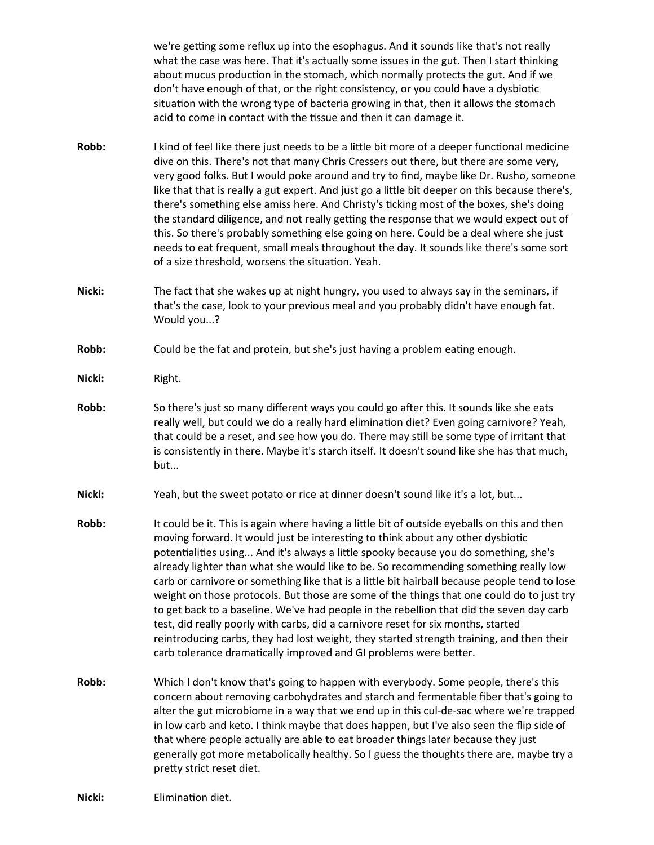we're getting some reflux up into the esophagus. And it sounds like that's not really what the case was here. That it's actually some issues in the gut. Then I start thinking about mucus production in the stomach, which normally protects the gut. And if we don't have enough of that, or the right consistency, or you could have a dysbiotic situation with the wrong type of bacteria growing in that, then it allows the stomach acid to come in contact with the tissue and then it can damage it.

- **Robb:** I kind of feel like there just needs to be a little bit more of a deeper functional medicine dive on this. There's not that many Chris Cressers out there, but there are some very, very good folks. But I would poke around and try to find, maybe like Dr. Rusho, someone like that that is really a gut expert. And just go a little bit deeper on this because there's, there's something else amiss here. And Christy's ticking most of the boxes, she's doing the standard diligence, and not really getting the response that we would expect out of this. So there's probably something else going on here. Could be a deal where she just needs to eat frequent, small meals throughout the day. It sounds like there's some sort of a size threshold, worsens the situation. Yeah.
- **Nicki:** The fact that she wakes up at night hungry, you used to always say in the seminars, if that's the case, look to your previous meal and you probably didn't have enough fat. Would you...?
- **Robb:** Could be the fat and protein, but she's just having a problem eating enough.
- **Nicki:** Right.
- **Robb:** So there's just so many different ways you could go after this. It sounds like she eats really well, but could we do a really hard elimination diet? Even going carnivore? Yeah, that could be a reset, and see how you do. There may still be some type of irritant that is consistently in there. Maybe it's starch itself. It doesn't sound like she has that much, but...
- **Nicki:** Yeah, but the sweet potato or rice at dinner doesn't sound like it's a lot, but...
- **Robb:** It could be it. This is again where having a little bit of outside eyeballs on this and then moving forward. It would just be interesting to think about any other dysbiotic potentialities using... And it's always a little spooky because you do something, she's already lighter than what she would like to be. So recommending something really low carb or carnivore or something like that is a little bit hairball because people tend to lose weight on those protocols. But those are some of the things that one could do to just try to get back to a baseline. We've had people in the rebellion that did the seven day carb test, did really poorly with carbs, did a carnivore reset for six months, started reintroducing carbs, they had lost weight, they started strength training, and then their carb tolerance dramatically improved and GI problems were better.
- **Robb:** Which I don't know that's going to happen with everybody. Some people, there's this concern about removing carbohydrates and starch and fermentable fiber that's going to alter the gut microbiome in a way that we end up in this cul-de-sac where we're trapped in low carb and keto. I think maybe that does happen, but I've also seen the flip side of that where people actually are able to eat broader things later because they just generally got more metabolically healthy. So I guess the thoughts there are, maybe try a pretty strict reset diet.

**Nicki:** Elimination diet.